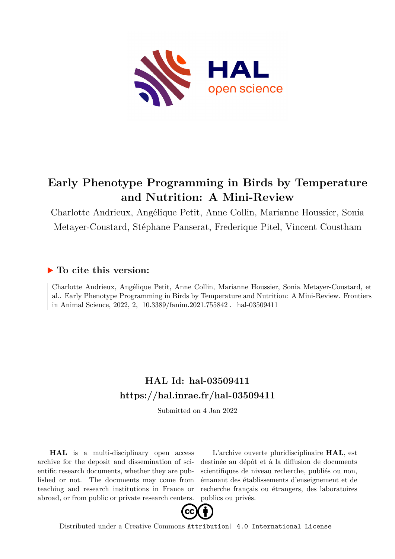

# **Early Phenotype Programming in Birds by Temperature and Nutrition: A Mini-Review**

Charlotte Andrieux, Angélique Petit, Anne Collin, Marianne Houssier, Sonia Metayer-Coustard, Stéphane Panserat, Frederique Pitel, Vincent Coustham

## **To cite this version:**

Charlotte Andrieux, Angélique Petit, Anne Collin, Marianne Houssier, Sonia Metayer-Coustard, et al.. Early Phenotype Programming in Birds by Temperature and Nutrition: A Mini-Review. Frontiers in Animal Science, 2022, 2,  $10.3389/fanim.2021.755842$ . hal-03509411

## **HAL Id: hal-03509411 <https://hal.inrae.fr/hal-03509411>**

Submitted on 4 Jan 2022

**HAL** is a multi-disciplinary open access archive for the deposit and dissemination of scientific research documents, whether they are published or not. The documents may come from teaching and research institutions in France or abroad, or from public or private research centers.

L'archive ouverte pluridisciplinaire **HAL**, est destinée au dépôt et à la diffusion de documents scientifiques de niveau recherche, publiés ou non, émanant des établissements d'enseignement et de recherche français ou étrangers, des laboratoires publics ou privés.



Distributed under a Creative Commons [Attribution| 4.0 International License](http://creativecommons.org/licenses/by/4.0/)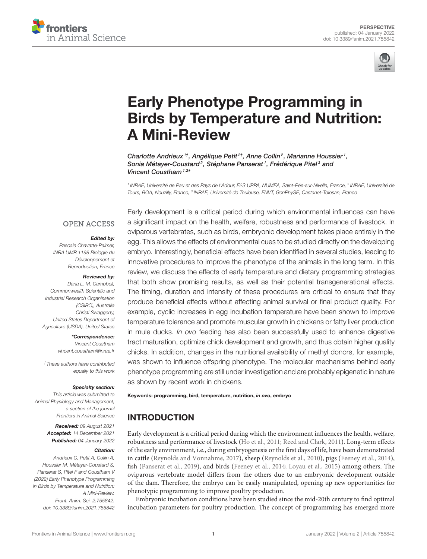



# Early Phenotype Programming in [Birds by Temperature and Nutrition:](https://www.frontiersin.org/articles/10.3389/fanim.2021.755842/full) A Mini-Review

Charlotte Andrieux<sup>1†</sup>, Angélique Petit<sup>2†</sup>, Anne Collin<sup>2</sup>, Marianne Houssier<sup>1</sup>, Sonia Métayer-Coustard<sup>2</sup>, Stéphane Panserat<sup>1</sup>, Frédérique Pitel<sup>3</sup> and Vincent Coustham<sup>1,2\*</sup>

<sup>1</sup> INRAE, Université de Pau et des Pays de l'Adour, E2S UPPA, NUMEA, Saint-Pée-sur-Nivelle, France, <sup>2</sup> INRAE, Université de Tours, BOA, Nouzilly, France, <sup>3</sup> INRAE, Université de Toulouse, ENVT, GenPhySE, Castanet-Tolosan, France

#### **OPEN ACCESS**

#### Edited by:

Pascale Chavatte-Palmer, INRA UMR 1198 Biologie du Développement et Reproduction, France

#### Reviewed by:

Dana L. M. Campbell, Commonwealth Scientific and Industrial Research Organisation (CSIRO), Australia Christi Swaggerty, United States Department of Agriculture (USDA), United States

> \*Correspondence: Vincent Coustham [vincent.coustham@inrae.fr](mailto:vincent.coustham@inrae.fr)

†These authors have contributed equally to this work

#### Specialty section:

This article was submitted to Animal Physiology and Management, a section of the journal Frontiers in Animal Science

> Received: 09 August 2021 Accepted: 14 December 2021 Published: 04 January 2022

#### Citation:

Andrieux C, Petit A, Collin A, Houssier M, Métayer-Coustard S, Panserat S, Pitel F and Coustham V (2022) Early Phenotype Programming in Birds by Temperature and Nutrition: A Mini-Review. Front. Anim. Sci. 2:755842. doi: [10.3389/fanim.2021.755842](https://doi.org/10.3389/fanim.2021.755842)

Early development is a critical period during which environmental influences can have a significant impact on the health, welfare, robustness and performance of livestock. In oviparous vertebrates, such as birds, embryonic development takes place entirely in the egg. This allows the effects of environmental cues to be studied directly on the developing embryo. Interestingly, beneficial effects have been identified in several studies, leading to innovative procedures to improve the phenotype of the animals in the long term. In this review, we discuss the effects of early temperature and dietary programming strategies that both show promising results, as well as their potential transgenerational effects. The timing, duration and intensity of these procedures are critical to ensure that they produce beneficial effects without affecting animal survival or final product quality. For example, cyclic increases in egg incubation temperature have been shown to improve temperature tolerance and promote muscular growth in chickens or fatty liver production in mule ducks. In ovo feeding has also been successfully used to enhance digestive tract maturation, optimize chick development and growth, and thus obtain higher quality chicks. In addition, changes in the nutritional availability of methyl donors, for example, was shown to influence offspring phenotype. The molecular mechanisms behind early phenotype programming are still under investigation and are probably epigenetic in nature as shown by recent work in chickens.

#### Keywords: programming, bird, temperature, nutrition, in ovo, embryo

## INTRODUCTION

Early development is a critical period during which the environment influences the health, welfare, robustness and performance of livestock [\(Ho et al., 2011;](#page-6-0) [Reed and Clark, 2011\)](#page-7-0). Long-term effects of the early environment, i.e., during embryogenesis or the first days of life, have been demonstrated in cattle [\(Reynolds and Vonnahme, 2017\)](#page-7-1), sheep [\(Reynolds et al., 2010\)](#page-7-2), pigs [\(Feeney et al., 2014\)](#page-6-1), fish [\(Panserat et al., 2019\)](#page-7-3), and birds [\(Feeney et al., 2014;](#page-6-1) [Loyau et al., 2015\)](#page-6-2) among others. The oviparous vertebrate model differs from the others due to an embryonic development outside of the dam. Therefore, the embryo can be easily manipulated, opening up new opportunities for phenotypic programming to improve poultry production.

Embryonic incubation conditions have been studied since the mid-20th century to find optimal incubation parameters for poultry production. The concept of programming has emerged more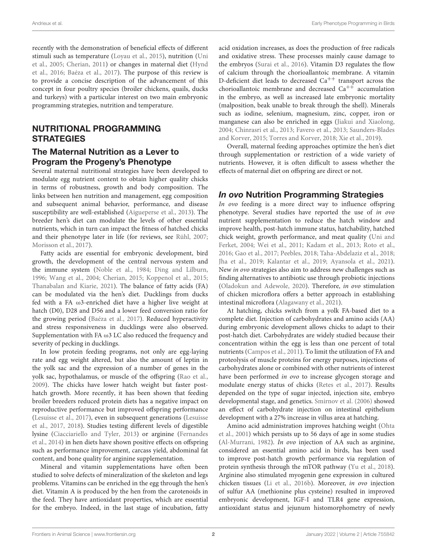recently with the demonstration of beneficial effects of different stimuli such as temperature [\(Loyau et al., 2015\)](#page-6-2), nutrition (Uni et al., [2005;](#page-8-0) [Cherian, 2011\)](#page-5-0) or changes in maternal diet (Hynd et al., [2016;](#page-6-3) [Baéza et al., 2017\)](#page-5-1). The purpose of this review is to provide a concise description of the advancement of this concept in four poultry species (broiler chickens, quails, ducks and turkeys) with a particular interest on two main embryonic programming strategies, nutrition and temperature.

#### NUTRITIONAL PROGRAMMING **STRATEGIES**

#### The Maternal Nutrition as a Lever to Program the Progeny's Phenotype

Several maternal nutritional strategies have been developed to modulate egg nutrient content to obtain higher quality chicks in terms of robustness, growth and body composition. The links between hen nutrition and management, egg composition and subsequent animal behavior, performance, and disease susceptibility are well-established [\(Aigueperse et al., 2013\)](#page-5-2). The breeder hen's diet can modulate the levels of other essential nutrients, which in turn can impact the fitness of hatched chicks and their phenotype later in life (for reviews, see [Rühl, 2007;](#page-7-4) [Morisson et al., 2017\)](#page-7-5).

Fatty acids are essential for embryonic development, bird growth, the development of the central nervous system and the immune system [\(Noble et al., 1984;](#page-7-6) [Ding and Lilburn,](#page-6-4) [1996;](#page-6-4) [Wang et al., 2004;](#page-8-1) [Cherian, 2015;](#page-5-3) [Koppenol et al., 2015;](#page-6-5) [Thanabalan and Kiarie, 2021\)](#page-7-7). The balance of fatty acids (FA) can be modulated via the hen's diet. Ducklings from ducks fed with a FA ω3-enriched diet have a higher live weight at hatch (D0), D28 and D56 and a lower feed conversion ratio for the growing period [\(Baéza et al., 2017\)](#page-5-1). Reduced hyperactivity and stress responsiveness in ducklings were also observed. Supplementation with FA  $\omega$ 3 LC also reduced the frequency and severity of pecking in ducklings.

In low protein feeding programs, not only are egg-laying rate and egg weight altered, but also the amount of leptin in the yolk sac and the expression of a number of genes in the yolk sac, hypothalamus, or muscle of the offspring [\(Rao et al.,](#page-7-8) [2009\)](#page-7-8). The chicks have lower hatch weight but faster posthatch growth. More recently, it has been shown that feeding broiler breeders reduced protein diets has a negative impact on reproductive performance but improved offspring performance [\(Lesuisse et al., 2017\)](#page-6-6), even in subsequent generations (Lesuisse et al., [2017,](#page-6-6) [2018\)](#page-6-7). Studies testing different levels of digestible lysine [\(Ciacciariello and Tyler, 2013\)](#page-5-4) or arginine (Fernandes et al., [2014\)](#page-6-8) in hen diets have shown positive effects on offspring such as performance improvement, carcass yield, abdominal fat content, and bone quality for arginine supplementation.

Mineral and vitamin supplementations have often been studied to solve defects of mineralization of the skeleton and legs problems. Vitamins can be enriched in the egg through the hen's diet. Vitamin A is produced by the hen from the carotenoids in the feed. They have antioxidant properties, which are essential for the embryo. Indeed, in the last stage of incubation, fatty acid oxidation increases, as does the production of free radicals and oxidative stress. These processes mainly cause damage to the embryos [\(Surai et al., 2016\)](#page-7-9). Vitamin D3 regulates the flow of calcium through the chorioallantoic membrane. A vitamin D-deficient diet leads to decreased  $Ca^{++}$  transport across the chorioallantoic membrane and decreased  $Ca^{++}$  accumulation in the embryo, as well as increased late embryonic mortality (malposition, beak unable to break through the shell). Minerals such as iodine, selenium, magnesium, zinc, copper, iron or manganese can also be enriched in eggs [\(Jiakui and Xiaolong,](#page-6-9) [2004;](#page-6-9) [Chinrasri et al., 2013;](#page-5-5) [Favero et al., 2013;](#page-6-10) Saunders-Blades and Korver, [2015;](#page-7-10) [Torres and Korver, 2018;](#page-7-11) [Xie et al., 2019\)](#page-8-2).

Overall, maternal feeding approaches optimize the hen's diet through supplementation or restriction of a wide variety of nutrients. However, it is often difficult to assess whether the effects of maternal diet on offspring are direct or not.

#### In ovo Nutrition Programming Strategies

In ovo feeding is a more direct way to influence offspring phenotype. Several studies have reported the use of in ovo nutrient supplementation to reduce the hatch window and improve health, post-hatch immune status, hatchability, hatched chick weight, growth performance, and meat quality (Uni and Ferket, [2004;](#page-8-3) [Wei et al., 2011;](#page-8-4) [Kadam et al., 2013;](#page-6-11) [Roto et al.,](#page-7-12) [2016;](#page-7-12) [Gao et al., 2017;](#page-6-12) [Peebles, 2018;](#page-7-13) [Taha-Abdelaziz et al., 2018;](#page-7-14) [Jha et al., 2019;](#page-6-13) [Kalantar et al., 2019;](#page-6-14) [Ayansola et al., 2021\)](#page-5-6). New in ovo strategies also aim to address new challenges such as finding alternatives to antibiotic use through probiotic injections [\(Oladokun and Adewole, 2020\)](#page-7-15). Therefore, in ovo stimulation of chicken microflora offers a better approach in establishing intestinal microflora [\(Alagawany et al., 2021\)](#page-5-7).

At hatching, chicks switch from a yolk FA-based diet to a complete diet. Injection of carbohydrates and amino acids (AA) during embryonic development allows chicks to adapt to their post-hatch diet. Carbohydrates are widely studied because their concentration within the egg is less than one percent of total nutrients [\(Campos et al., 2011\)](#page-5-8). To limit the utilization of FA and proteolysis of muscle proteins for energy purposes, injections of carbohydrates alone or combined with other nutrients of interest have been performed in ovo to increase glycogen storage and modulate energy status of chicks [\(Retes et al., 2017\)](#page-7-16). Results depended on the type of sugar injected, injection site, embryo developmental stage, and genetics. [Smirnov et al. \(2006\)](#page-7-17) showed an effect of carbohydrate injection on intestinal epithelium development with a 27% increase in villus area at hatching.

Amino acid administration improves hatching weight (Ohta et al., [2001\)](#page-7-18) which persists up to 56 days of age in some studies [\(Al-Murrani, 1982\)](#page-5-9). In ovo injection of AA such as arginine, considered an essential amino acid in birds, has been used to improve post-hatch growth performance via regulation of protein synthesis through the mTOR pathway [\(Yu et al., 2018\)](#page-8-5). Arginine also stimulated myogenin gene expression in cultured chicken tissues [\(Li et al., 2016b\)](#page-6-15). Moreover, in ovo injection of sulfur AA (methionine plus cysteine) resulted in improved embryonic development, IGF-I and TLR4 gene expression, antioxidant status and jejunum histomorphometry of newly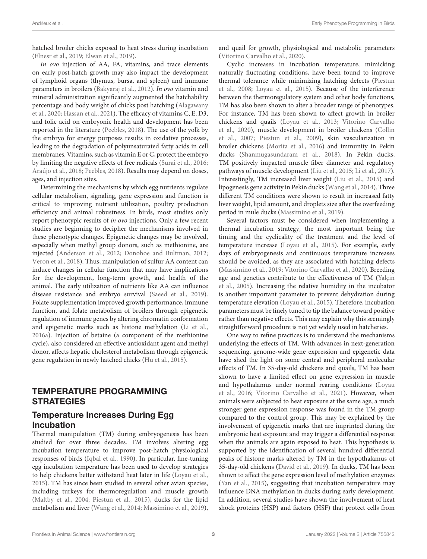hatched broiler chicks exposed to heat stress during incubation [\(Elnesr et al., 2019;](#page-6-16) [Elwan et al., 2019\)](#page-6-17).

In ovo injection of AA, FA, vitamins, and trace elements on early post-hatch growth may also impact the development of lymphoid organs (thymus, bursa, and spleen) and immune parameters in broilers [\(Bakyaraj et al., 2012\)](#page-5-10). In ovo vitamin and mineral administration significantly augmented the hatchability percentage and body weight of chicks post hatching (Alagawany et al., [2020;](#page-5-11) [Hassan et al., 2021\)](#page-6-18). The efficacy of vitamins C, E, D3, and folic acid on embryonic health and development has been reported in the literature [\(Peebles, 2018\)](#page-7-13). The use of the yolk by the embryo for energy purposes results in oxidative processes, leading to the degradation of polyunsaturated fatty acids in cell membranes. Vitamins, such as vitamin E or C, protect the embryo by limiting the negative effects of free radicals [\(Surai et al., 2016;](#page-7-9) [Araújo et al., 2018;](#page-5-12) [Peebles, 2018\)](#page-7-13). Results may depend on doses, ages, and injection sites.

Determining the mechanisms by which egg nutrients regulate cellular metabolism, signaling, gene expression and function is critical to improving nutrient utilization, poultry production efficiency and animal robustness. In birds, most studies only report phenotypic results of in ovo injections. Only a few recent studies are beginning to decipher the mechanisms involved in these phenotypic changes. Epigenetic changes may be involved, especially when methyl group donors, such as methionine, are injected [\(Anderson et al., 2012;](#page-5-13) [Donohoe and Bultman, 2012;](#page-6-19) [Veron et al., 2018\)](#page-8-6). Thus, manipulation of sulfur AA content can induce changes in cellular function that may have implications for the development, long-term growth, and health of the animal. The early utilization of nutrients like AA can influence disease resistance and embryo survival [\(Saeed et al., 2019\)](#page-7-19). Folate supplementation improved growth performance, immune function, and folate metabolism of broilers through epigenetic regulation of immune genes by altering chromatin conformation and epigenetic marks such as histone methylation [\(Li et al.,](#page-6-20) [2016a\)](#page-6-20). Injection of betaine (a component of the methionine cycle), also considered an effective antioxidant agent and methyl donor, affects hepatic cholesterol metabolism through epigenetic gene regulation in newly hatched chicks [\(Hu et al., 2015\)](#page-6-21).

### TEMPERATURE PROGRAMMING **STRATEGIES**

#### Temperature Increases During Egg Incubation

Thermal manipulation (TM) during embryogenesis has been studied for over three decades. TM involves altering egg incubation temperature to improve post-hatch physiological responses of birds [\(Iqbal et al., 1990\)](#page-6-22). In particular, fine-tuning egg incubation temperature has been used to develop strategies to help chickens better withstand heat later in life [\(Loyau et al.,](#page-6-2) [2015\)](#page-6-2). TM has since been studied in several other avian species, including turkeys for thermoregulation and muscle growth [\(Maltby et al., 2004;](#page-7-20) [Piestun et al., 2015\)](#page-7-21), ducks for the lipid metabolism and liver [\(Wang et al., 2014;](#page-8-7) [Massimino et al., 2019\)](#page-7-22), and quail for growth, physiological and metabolic parameters [\(Vitorino Carvalho et al., 2020\)](#page-8-8).

Cyclic increases in incubation temperature, mimicking naturally fluctuating conditions, have been found to improve thermal tolerance while minimizing hatching defects (Piestun et al., [2008;](#page-7-23) [Loyau et al., 2015\)](#page-6-2). Because of the interference between the thermoregulatory system and other body functions, TM has also been shown to alter a broader range of phenotypes. For instance, TM has been shown to affect growth in broiler chickens and quails [\(Loyau et al., 2013;](#page-7-24) Vitorino Carvalho et al., [2020\)](#page-8-8), muscle development in broiler chickens (Collin et al., [2007;](#page-6-23) [Piestun et al., 2009\)](#page-7-25), skin vascularization in broiler chickens [\(Morita et al., 2016\)](#page-7-26) and immunity in Pekin ducks [\(Shanmugasundaram et al., 2018\)](#page-7-27). In Pekin ducks, TM positively impacted muscle fiber diameter and regulatory pathways of muscle development [\(Liu et al., 2015;](#page-6-24) [Li et al., 2017\)](#page-6-25). Interestingly, TM increased liver weight [\(Liu et al., 2015\)](#page-6-24) and lipogenesis gene activity in Pekin ducks [\(Wang et al., 2014\)](#page-8-7). Three different TM conditions were shown to result in increased fatty liver weight, lipid amount, and droplets size after the overfeeding period in mule ducks [\(Massimino et al., 2019\)](#page-7-22).

Several factors must be considered when implementing a thermal incubation strategy, the most important being the timing and the cyclicality of the treatment and the level of temperature increase [\(Loyau et al., 2015\)](#page-6-2). For example, early days of embryogenesis and continuous temperature increases should be avoided, as they are associated with hatching defects [\(Massimino et al., 2019;](#page-7-22) [Vitorino Carvalho et al., 2020\)](#page-8-8). Breeding age and genetics contribute to the effectiveness of TM (Yalçin et al., [2005\)](#page-8-9). Increasing the relative humidity in the incubator is another important parameter to prevent dehydration during temperature elevation [\(Loyau et al., 2015\)](#page-6-2). Therefore, incubation parameters must be finely tuned to tip the balance toward positive rather than negative effects. This may explain why this seemingly straightforward procedure is not yet widely used in hatcheries.

One way to refine practices is to understand the mechanisms underlying the effects of TM. With advances in next-generation sequencing, genome-wide gene expression and epigenetic data have shed the light on some central and peripheral molecular effects of TM. In 35-day-old chickens and quails, TM has been shown to have a limited effect on gene expression in muscle and hypothalamus under normal rearing conditions (Loyau et al., [2016;](#page-7-28) [Vitorino Carvalho et al., 2021\)](#page-8-10). However, when animals were subjected to heat exposure at the same age, a much stronger gene expression response was found in the TM group compared to the control group. This may be explained by the involvement of epigenetic marks that are imprinted during the embryonic heat exposure and may trigger a differential response when the animals are again exposed to heat. This hypothesis is supported by the identification of several hundred differential peaks of histone marks altered by TM in the hypothalamus of 35-day-old chickens [\(David et al., 2019\)](#page-6-26). In ducks, TM has been shown to affect the gene expression level of methylation enzymes [\(Yan et al., 2015\)](#page-8-11), suggesting that incubation temperature may influence DNA methylation in ducks during early development. In addition, several studies have shown the involvement of heat shock proteins (HSP) and factors (HSF) that protect cells from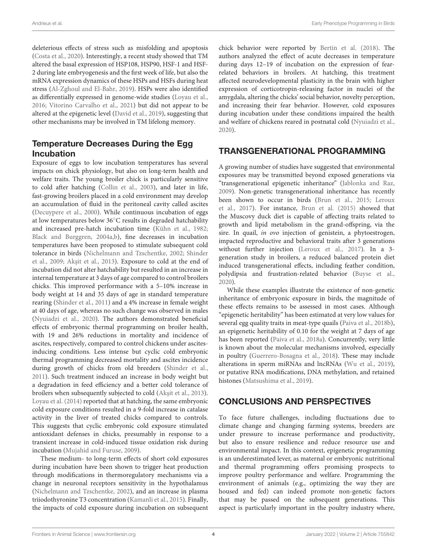deleterious effects of stress such as misfolding and apoptosis [\(Costa et al., 2020\)](#page-6-27). Interestingly, a recent study showed that TM altered the basal expression of HSP108, HSP90, HSF-1 and HSF-2 during late embryogenesis and the first week of life, but also the mRNA expression dynamics of these HSPs and HSFs during heat stress [\(Al-Zghoul and El-Bahr, 2019\)](#page-5-14). HSPs were also identified as differentially expressed in genome-wide studies [\(Loyau et al.,](#page-7-28) [2016;](#page-7-28) [Vitorino Carvalho et al., 2021\)](#page-8-10) but did not appear to be altered at the epigenetic level [\(David et al., 2019\)](#page-6-26), suggesting that other mechanisms may be involved in TM lifelong memory.

#### Temperature Decreases During the Egg Incubation

Exposure of eggs to low incubation temperatures has several impacts on chick physiology, but also on long-term health and welfare traits. The young broiler chick is particularly sensitive to cold after hatching [\(Collin et al., 2003\)](#page-6-28), and later in life, fast-growing broilers placed in a cold environment may develop an accumulation of fluid in the peritoneal cavity called ascites [\(Decuypere et al., 2000\)](#page-6-29). While continuous incubation of eggs at low temperatures below 36◦C results in degraded hatchability and increased pre-hatch incubation time [\(Kühn et al., 1982;](#page-6-30) [Black and Burggren, 2004a,](#page-5-15)[b\)](#page-5-16), fine decreases in incubation temperatures have been proposed to stimulate subsequent cold tolerance in birds [\(Nichelmann and Tzschentke, 2002;](#page-7-29) Shinder et al., [2009;](#page-7-30) Akşit et al., 2013). Exposure to cold at the end of incubation did not alter hatchability but resulted in an increase in internal temperature at 3 days of age compared to control broilers chicks. This improved performance with a 5–10% increase in body weight at 14 and 35 days of age in standard temperature rearing [\(Shinder et al., 2011\)](#page-7-31) and a 4% increase in female weight at 40 days of age, whereas no such change was observed in males [\(Nyuiadzi et al., 2020\)](#page-7-32). The authors demonstrated beneficial effects of embryonic thermal programming on broiler health, with 19 and 26% reductions in mortality and incidence of ascites, respectively, compared to control chickens under ascitesinducing conditions. Less intense but cyclic cold embryonic thermal programming decreased mortality and ascites incidence during growth of chicks from old breeders [\(Shinder et al.,](#page-7-31) [2011\)](#page-7-31). Such treatment induced an increase in body weight but a degradation in feed efficiency and a better cold tolerance of broilers when subsequently subjected to cold (Akşit et al., 2013). [Loyau et al. \(2014\)](#page-7-33) reported that at hatching, the same embryonic cold exposure conditions resulted in a 9-fold increase in catalase activity in the liver of treated chicks compared to controls. This suggests that cyclic embryonic cold exposure stimulated antioxidant defenses in chicks, presumably in response to a transient increase in cold-induced tissue oxidation risk during incubation [\(Mujahid and Furuse, 2009\)](#page-7-34).

These medium- to long-term effects of short cold exposures during incubation have been shown to trigger heat production through modifications in thermoregulatory mechanisms via a change in neuronal receptors sensitivity in the hypothalamus [\(Nichelmann and Tzschentke, 2002\)](#page-7-29), and an increase in plasma triiodothyronine T3 concentration [\(Kamanli et al., 2015\)](#page-6-31). Finally, the impacts of cold exposure during incubation on subsequent chick behavior were reported by [Bertin et al. \(2018\)](#page-5-18). The authors analyzed the effect of acute decreases in temperature during days 12–19 of incubation on the expression of fearrelated behaviors in broilers. At hatching, this treatment affected neurodevelopmental plasticity in the brain with higher expression of corticotropin-releasing factor in nuclei of the amygdala, altering the chicks' social behavior, novelty perception, and increasing their fear behavior. However, cold exposures during incubation under these conditions impaired the health and welfare of chickens reared in postnatal cold [\(Nyuiadzi et al.,](#page-7-32) [2020\)](#page-7-32).

### TRANSGENERATIONAL PROGRAMMING

A growing number of studies have suggested that environmental exposures may be transmitted beyond exposed generations via "transgenerational epigenetic inheritance" [\(Jablonka and Raz,](#page-6-32) [2009\)](#page-6-32). Non-genetic transgenerational inheritance has recently been shown to occur in birds [\(Brun et al., 2015;](#page-5-19) Leroux et al., [2017\)](#page-6-33). For instance, [Brun et al. \(2015\)](#page-5-19) showed that the Muscovy duck diet is capable of affecting traits related to growth and lipid metabolism in the grand-offspring, via the sire. In quail, in ovo injection of genistein, a phytoestrogen, impacted reproductive and behavioral traits after 3 generations without further injection [\(Leroux et al., 2017\)](#page-6-33). In a 3 generation study in broilers, a reduced balanced protein diet induced transgenerational effects, including feather condition, polydipsia and frustration-related behavior [\(Buyse et al.,](#page-5-20) [2020\)](#page-5-20).

While these examples illustrate the existence of non-genetic inheritance of embryonic exposure in birds, the magnitude of these effects remains to be assessed in most cases. Although "epigenetic heritability" has been estimated at very low values for several egg quality traits in meat-type quails [\(Paiva et al., 2018b\)](#page-7-35), an epigenetic heritability of 0.10 for the weight at 7 days of age has been reported [\(Paiva et al., 2018a\)](#page-7-36). Concurrently, very little is known about the molecular mechanisms involved, especially in poultry [\(Guerrero-Bosagna et al., 2018\)](#page-6-34). These may include alterations in sperm miRNAs and lncRNAs [\(Wu et al., 2019\)](#page-8-12), or putative RNA modifications, DNA methylation, and retained histones [\(Matsushima et al., 2019\)](#page-7-37).

## CONCLUSIONS AND PERSPECTIVES

To face future challenges, including fluctuations due to climate change and changing farming systems, breeders are under pressure to increase performance and productivity, but also to ensure resilience and reduce resource use and environmental impact. In this context, epigenetic programming is an underestimated lever, as maternal or embryonic nutritional and thermal programming offers promising prospects to improve poultry performance and welfare. Programming the environment of animals (e.g., optimizing the way they are housed and fed) can indeed promote non-genetic factors that may be passed on the subsequent generations. This aspect is particularly important in the poultry industry where,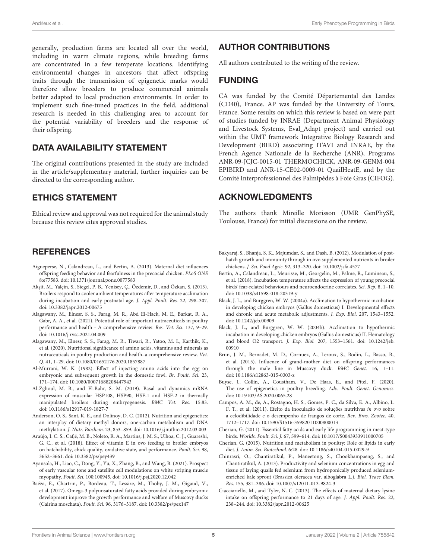generally, production farms are located all over the world, including in warm climate regions, while breeding farms are concentrated in a few temperate locations. Identifying environmental changes in ancestors that affect offspring traits through the transmission of epigenetic marks would therefore allow breeders to produce commercial animals better adapted to local production environments. In order to implement such fine-tuned practices in the field, additional research is needed in this challenging area to account for the potential variability of breeders and the response of their offspring.

#### DATA AVAILABILITY STATEMENT

The original contributions presented in the study are included in the article/supplementary material, further inquiries can be directed to the corresponding author.

#### ETHICS STATEMENT

Ethical review and approval was not required for the animal study because this review cites approved studies.

## **REFERENCES**

- <span id="page-5-2"></span>Aigueperse, N., Calandreau, L., and Bertin, A. (2013). Maternal diet influences offspring feeding behavior and fearfulness in the precocial chicken. PLoS ONE 8:e77583. doi: [10.1371/journal.pone.0077583](https://doi.org/10.1371/journal.pone.0077583)
- <span id="page-5-17"></span>Akşit, M., Yalçin, S., Siegel, P. B., Yenisey, Ç., Özdemir, D., and Özkan, S. (2013). Broilers respond to cooler ambient temperatures after temperature acclimation during incubation and early postnatal age. J. Appl. Poult. Res. 22, 298–307. doi: [10.3382/japr.2012-00675](https://doi.org/10.3382/japr.2012-00675)
- <span id="page-5-7"></span>Alagawany, M., Elnesr, S. S., Farag, M. R., Abd El-Hack, M. E., Barkat, R. A., Gabr, A. A., et al. (2021). Potential role of important nutraceuticals in poultry performance and health - A comprehensive review. Res. Vet. Sci. 137, 9–29. doi: [10.1016/j.rvsc.2021.04.009](https://doi.org/10.1016/j.rvsc.2021.04.009)
- <span id="page-5-11"></span>Alagawany, M., Elnesr, S. S., Farag, M. R., Tiwari, R., Yatoo, M. I., Karthik, K., et al. (2020). Nutritional significance of amino acids, vitamins and minerals as nutraceuticals in poultry production and health–a comprehensive review. Vet. Q. 41, 1–29. doi: [10.1080/01652176.2020.1857887](https://doi.org/10.1080/01652176.2020.1857887)
- <span id="page-5-9"></span>Al-Murrani, W. K. (1982). Effect of injecting amino acids into the egg on embryonic and subsequent growth in the domestic fowl. Br. Poult. Sci. 23, 171–174. doi: [10.1080/00071688208447943](https://doi.org/10.1080/00071688208447943)
- <span id="page-5-14"></span>Al-Zghoul, M. B., and El-Bahr, S. M. (2019). Basal and dynamics mRNA expression of muscular HSP108, HSP90, HSF-1 and HSF-2 in thermally manipulated broilers during embryogenesis. BMC Vet. Res. 15:83. doi: [10.1186/s12917-019-1827-7](https://doi.org/10.1186/s12917-019-1827-7)
- <span id="page-5-13"></span>Anderson, O. S., Sant, K. E., and Dolinoy, D. C. (2012). Nutrition and epigenetics: an interplay of dietary methyl donors, one-carbon metabolism and DNA methylation. J. Nutr. Biochem. 23, 853–859. doi: [10.1016/j.jnutbio.2012.03.003](https://doi.org/10.1016/j.jnutbio.2012.03.003)
- <span id="page-5-12"></span>Araújo, I. C. S., Caf,é, M. B., Noleto, R. A., Martins, J. M. S., Ulhoa, C. J., Guareshi, G. C., et al. (2018). Effect of vitamin E in ovo feeding to broiler embryos on hatchability, chick quality, oxidative state, and performance. Poult. Sci. 98, 3652–3661. doi: [10.3382/ps/pey439](https://doi.org/10.3382/ps/pey439)
- <span id="page-5-6"></span>Ayansola, H., Liao, C., Dong, Y., Yu, X., Zhang, B., and Wang, B. (2021). Prospect of early vascular tone and satellite cell modulations on white striping muscle myopathy. Poult. Sci. 100:100945. doi: [10.1016/j.psj.2020.12.042](https://doi.org/10.1016/j.psj.2020.12.042)
- <span id="page-5-1"></span>Baéza, E., Chartrin, P., Bordeau, T., Lessire, M., Thoby, J. M., Gigaud, V., et al. (2017). Omega-3 polyunsaturated fatty acids provided during embryonic development improve the growth performance and welfare of Muscovy ducks (Cairina moschata). Poult. Sci. 96, 3176–3187. doi: [10.3382/ps/pex147](https://doi.org/10.3382/ps/pex147)

## AUTHOR CONTRIBUTIONS

All authors contributed to the writing of the review.

#### FUNDING

CA was funded by the Comité Départemental des Landes (CD40), France. AP was funded by the University of Tours, France. Some results on which this review is based on were part of studies funded by INRAE (Department Animal Physiology and Livestock Systems, Eval\_Adapt project) and carried out within the UMT framework Integrative Biology Research and Development (BIRD) associating ITAVI and INRAE, by the French Agence Nationale de la Recherche (ANR), Programs ANR-09-JCJC-0015-01 THERMOCHICK, ANR-09-GENM-004 EPIBIRD and ANR-15-CE02-0009-01 QuailHeatE, and by the Comité Interprofessionnel des Palmipèdes à Foie Gras (CIFOG).

### ACKNOWLEDGMENTS

The authors thank Mireille Morisson (UMR GenPhySE, Toulouse, France) for initial discussions on the review.

- <span id="page-5-10"></span>Bakyaraj, S., Bhanja, S. K., Majumdar, S., and Dash, B. (2012). Modulation of posthatch growth and immunity through in ovo supplemented nutrients in broiler chickens. J. Sci. Food Agric. 92, 313–320. doi: [10.1002/jsfa.4577](https://doi.org/10.1002/jsfa.4577)
- <span id="page-5-18"></span>Bertin, A., Calandreau, L., Meurisse, M., Georgelin, M., Palme, R., Lumineau, S., et al. (2018). Incubation temperature affects the expression of young precocial birds' fear-related behaviours and neuroendocrine correlates. Sci. Rep. 8, 1–10. doi: [10.1038/s41598-018-20319-y](https://doi.org/10.1038/s41598-018-20319-y)
- <span id="page-5-15"></span>Black, J. L., and Burggren, W. W. (2004a). Acclimation to hypothermic incubation in developing chicken embryos (Gallus domesticus) I. Developmental effects and chronic and acute metabolic adjustments. J. Exp. Biol. 207, 1543–1552. doi: [10.1242/jeb.00909](https://doi.org/10.1242/jeb.00909)
- <span id="page-5-16"></span>Black, J. L., and Burggren, W. W. (2004b). Acclimation to hypothermic incubation in developing chicken embryos (Gallus domesticus) II. Hematology and blood O2 transport. J. Exp. Biol. [207, 1553–1561. doi: 10.1242/jeb.](https://doi.org/10.1242/jeb.00910) 00910
- <span id="page-5-19"></span>Brun, J. M., Bernadet, M. D., Cornuez, A., Leroux, S., Bodin, L., Basso, B., et al. (2015). Influence of grand-mother diet on offspring performances through the male line in Muscovy duck. BMC Genet. 16, 1–11. doi: [10.1186/s12863-015-0303-z](https://doi.org/10.1186/s12863-015-0303-z)
- <span id="page-5-20"></span>Buyse, J., Collin, A., Coustham, V., De Haas, E., and Pitel, F. (2020). The use of epigenetics in poultry breeding. Adv. Poult. Genet. Genomics. doi: [10.19103/AS.2020.0065.28](https://doi.org/10.19103/AS.2020.0065.28)
- <span id="page-5-8"></span>Campos, A. M., de, A., Rostagno, H. S., Gomes, P. C., da Silva, E. A., Albino, L. F. T., et al. (2011). Efeito da inoculação de soluções nutritivas in ovo sobre a eclodibilidade e o desempenho de frangos de corte. Rev. Bras. Zootec. 40, 1712–1717. doi: [10.1590/S1516-35982011000800013](https://doi.org/10.1590/S1516-35982011000800013)
- <span id="page-5-0"></span>Cherian, G. (2011). Essential fatty acids and early life programming in meat-type birds. Worlds. Poult. Sci. J. 67, 599–614. doi: [10.1017/S0043933911000705](https://doi.org/10.1017/S0043933911000705)
- <span id="page-5-3"></span>Cherian, G. (2015). Nutrition and metabolism in poultry: Role of lipids in early diet. J. Anim. Sci. Biotechnol. 6:28. doi: [10.1186/s40104-015-0029-9](https://doi.org/10.1186/s40104-015-0029-9)
- <span id="page-5-5"></span>Chinrasri, O., Chantiratikul, P., Maneetong, S., Chookhampaeng, S., and Chantiratikul, A. (2013). Productivity and selenium concentrations in egg and tissue of laying quails fed selenium from hydroponically produced seleniumenriched kale sprout (Brassica oleracea var. alboglabra L.). Biol. Trace Elem. Res. 155, 381–386. doi: [10.1007/s12011-013-9824-3](https://doi.org/10.1007/s12011-013-9824-3)
- <span id="page-5-4"></span>Ciacciariello, M., and Tyler, N. C. (2013). The effects of maternal dietary lysine intake on offspring performance to 21 days of age. J. Appl. Poult. Res. 22, 238–244. doi: [10.3382/japr.2012-00625](https://doi.org/10.3382/japr.2012-00625)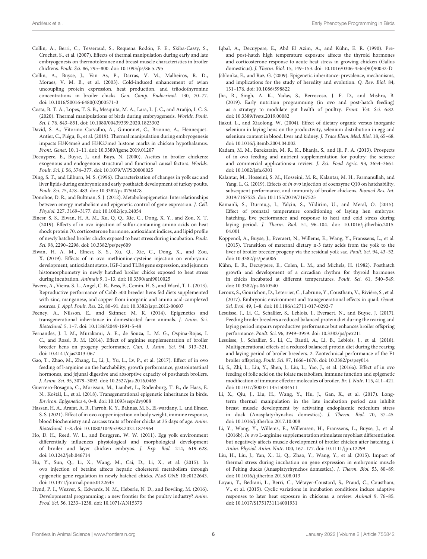- <span id="page-6-23"></span>Collin, A., Berri, C., Tesseraud, S., Requena Rodón, F. E., Skiba-Cassy, S., Crochet, S., et al. (2007). Effects of thermal manipulation during early and late embryogenesis on thermotolerance and breast muscle characteristics in broiler chickens. Poult. Sci. 86, 795–800. doi: [10.1093/ps/86.5.795](https://doi.org/10.1093/ps/86.5.795)
- <span id="page-6-28"></span>Collin, A., Buyse, J., Van As, P., Darras, V. M., Malheiros, R. D., Moraes, V. M. B., et al. (2003). Cold-induced enhancement of avian uncoupling protein expression, heat production, and triiodothyronine concentrations in broiler chicks. Gen. Comp. Endocrinol. 130, 70–77. doi: [10.1016/S0016-6480\(02\)00571-3](https://doi.org/10.1016/S0016-6480(02)00571-3)
- <span id="page-6-27"></span>Costa, B. T. A., Lopes, T. S. B., Mesquita, M. A., Lara, L. J. C., and Araújo, I. C. S. (2020). Thermal manipulations of birds during embryogenesis. Worlds. Poult. Sci. J. 76, 843–851. doi: [10.1080/00439339.2020.1823302](https://doi.org/10.1080/00439339.2020.1823302)
- <span id="page-6-26"></span>David, S. A., Vitorino Carvalho, A., Gimonnet, C., Brionne, A., Hennequet-Antier, C., Piégu, B., et al. (2019). Thermal manipulation during embryogenesis impacts H3K4me3 and H3K27me3 histone marks in chicken hypothalamus. Front. Genet. 10, 1–11. doi: [10.3389/fgene.2019.01207](https://doi.org/10.3389/fgene.2019.01207)
- <span id="page-6-29"></span>Decuypere, E., Buyse, J., and Buys, N. (2000). Ascites in broiler chickens: exogenous and endogenous structural and functional causal factors. Worlds. Poult. Sci. J. 56, 374–377. doi: [10.1079/WPS20000025](https://doi.org/10.1079/WPS20000025)
- <span id="page-6-4"></span>Ding, S. T., and Lilburn, M. S. (1996). Characterization of changes in yolk sac and liver lipids during embryonic and early posthatch development of turkey poults. Poult. Sci. 75, 478–483. doi: [10.3382/ps.0750478](https://doi.org/10.3382/ps.0750478)
- <span id="page-6-19"></span>Donohoe, D. R., and Bultman, S. J. (2012). Metaboloepigenetics: Interrelationships between energy metabolism and epigenetic control of gene expression. J. Cell. Physiol. 227, 3169–3177. doi: [10.1002/jcp.24054](https://doi.org/10.1002/jcp.24054)
- <span id="page-6-16"></span>Elnesr, S. S., Elwan, H. A. M., Xu, Q. Q., Xie, C., Dong, X. Y., and Zou, X. T. (2019). Effects of in ovo injection of sulfur-containing amino acids on heat shock protein 70, corticosterone hormone, antioxidant indices, and lipid profile of newly hatched broiler chicks exposed to heat stress during incubation. Poult. Sci. 98, 2290–2298. doi: [10.3382/ps/pey609](https://doi.org/10.3382/ps/pey609)
- <span id="page-6-17"></span>Elwan, H. A. M., Elnesr, S. S., Xu, Q., Xie, C., Dong, X., and Zou, X. (2019). Effects of in ovo methionine-cysteine injection on embryonic development, antioxidant status, IGF-I and TLR4 gene expression, and jejunum histomorphometry in newly hatched broiler chicks exposed to heat stress during incubation. Animals 9, 1–13. doi: [10.3390/ani9010025](https://doi.org/10.3390/ani9010025)
- <span id="page-6-10"></span>Favero, A., Vieira, S. L., Angel, C. R., Bess, F., Cemin, H. S., and Ward, T. L. (2013). Reproductive performance of Cobb 500 breeder hens fed diets supplemented with zinc, manganese, and copper from inorganic and amino acid-complexed sources. J. Appl. Poult. Res. 22, 80–91. doi: [10.3382/japr.2012-00607](https://doi.org/10.3382/japr.2012-00607)
- <span id="page-6-1"></span>Feeney, A., Nilsson, E., and Skinner, M. K. (2014). Epigenetics and transgenerational inheritance in domesticated farm animals. J. Anim. Sci. Biotechnol. 5, 1–7. doi: [10.1186/2049-1891-5-48](https://doi.org/10.1186/2049-1891-5-48)
- <span id="page-6-8"></span>Fernandes, J. I. M., Murakami, A. E., de Souza, L. M. G., Ospina-Rojas, I. C., and Rossi, R. M. (2014). Effect of arginine supplementation of broiler breeder hens on progeny performance. Can. J. Anim. Sci. 94, 313–321. doi: [10.4141/cjas2013-067](https://doi.org/10.4141/cjas2013-067)
- <span id="page-6-12"></span>Gao, T., Zhao, M., Zhang, L., Li, J., Yu, L., Lv, P., et al. (2017). Effect of in ovo feeding of l-arginine on the hatchability, growth performance, gastrointestinal hormones, and jejunal digestive and absorptive capacity of posthatch broilers. J. Anim. Sci. 95, 3079–3092. doi: [10.2527/jas.2016.0465](https://doi.org/10.2527/jas.2016.0465)
- <span id="page-6-34"></span>Guerrero-Bosagna, C., Morisson, M., Liaubet, L., Rodenburg, T. B., de Haas, E. N., Koštál, L., et al. (2018). Transgenerational epigenetic inheritance in birds. Environ. Epigenetics 4, 0–8. doi: [10.1093/eep/dvy008](https://doi.org/10.1093/eep/dvy008)
- <span id="page-6-18"></span>Hassan, H. A., Arafat, A. R., Farroh, K. Y., Bahnas, M. S., El-wardany, I., and Elnesr, S. S. (2021). Effect of in ovo copper injection on body weight, immune response, blood biochemistry and carcass traits of broiler chicks at 35 days of age. Anim. Biotechnol. 1–8. doi: [10.1080/10495398.2021.1874964](https://doi.org/10.1080/10495398.2021.1874964)
- <span id="page-6-0"></span>Ho, D. H., Reed, W. L., and Burggren, W. W. (2011). Egg yolk environment differentially influences physiological and morphological development of broiler and layer chicken embryos. J. Exp. Biol. 214, 619–628. doi: [10.1242/jeb.046714](https://doi.org/10.1242/jeb.046714)
- <span id="page-6-21"></span>Hu, Y., Sun, Q., Li, X., Wang, M., Cai, D., Li, X., et al. (2015). In ovo injection of betaine affects hepatic cholesterol metabolism through epigenetic gene regulation in newly hatched chicks. PLoS ONE 10:e0122643. doi: [10.1371/journal.pone.0122643](https://doi.org/10.1371/journal.pone.0122643)
- <span id="page-6-3"></span>Hynd, P. I., Weaver, S., Edwards, N. M., Heberle, N. D., and Bowling, M. (2016). Developmental programming : a new frontier for the poultry industry? Anim. Prod. Sci. 56, 1233–1238. doi: [10.1071/AN15373](https://doi.org/10.1071/AN15373)
- <span id="page-6-22"></span>Iqbal, A., Decuypere, E., Abd El Azim, A., and Kühn, E. R. (1990). Preand post-hatch high temperature exposure affects the thyroid hormones and corticosterone response to acute heat stress in growing chicken (Gallus domesticus). J. Therm. Biol. 15, 149–153. doi: [10.1016/0306-4565\(90\)90032-D](https://doi.org/10.1016/0306-4565(90)90032-D)
- <span id="page-6-32"></span>Jablonka, E., and Raz, G. (2009). Epigenetic inheritance: prevalence, mechanisms, and implications for the study of heredity and evolution. Q. Rev. Biol. 84, 131–176. doi: [10.1086/598822](https://doi.org/10.1086/598822)
- <span id="page-6-13"></span>Jha, R., Singh, A. K., Yadav, S., Berrocoso, J. F. D., and Mishra, B. (2019). Early nutrition programming (in ovo and post-hatch feeding) as a strategy to modulate gut health of poultry. Front. Vet. Sci. 6:82. doi: [10.3389/fvets.2019.00082](https://doi.org/10.3389/fvets.2019.00082)
- <span id="page-6-9"></span>Jiakui, L., and Xiaolong, W. (2004). Effect of dietary organic versus inorganic selenium in laying hens on the productivity, selenium distribution in egg and selenium content in blood, liver and kidney. J. Trace Elem. Med. Biol. 18, 65–68. doi: [10.1016/j.jtemb.2004.04.002](https://doi.org/10.1016/j.jtemb.2004.04.002)
- <span id="page-6-11"></span>Kadam, M. M., Barekatain, M. R., K., Bhanja, S., and Iji, P. A. (2013). Prospects of in ovo feeding and nutrient supplementation for poultry: the science and commercial applications-a review. J. Sci. Food Agric. 93, 3654–3661. doi: [10.1002/jsfa.6301](https://doi.org/10.1002/jsfa.6301)
- <span id="page-6-14"></span>Kalantar, M., Hosseini, S. M., Hosseini, M. R., Kalantar, M. H., Farmanullah, and Yang, L. G. (2019). Effects of in ovo injection of coenzyme Q10 on hatchability, subsequent performance, and immunity of broiler chickens. Biomed Res. Int. 2019:7167525. doi: [10.1155/2019/7167525](https://doi.org/10.1155/2019/7167525)
- <span id="page-6-31"></span>Kamanli, S., Durmu, s, I., Yalçin, S., Yildirim, U., and Meral, Ö. (2015). Effect of prenatal temperature conditioning of laying hen embryos: hatching, live performance and response to heat and cold stress during laying period. J. Therm. Biol. [51, 96–104. doi: 10.1016/j.jtherbio.2015.](https://doi.org/10.1016/j.jtherbio.2015.04.001) 04.001
- <span id="page-6-5"></span>Koppenol, A., Buyse, J., Everaert, N., Willems, E., Wang, Y., Franssens, L., et al. (2015). Transition of maternal dietary n-3 fatty acids from the yolk to the liver of broiler breeder progeny via the residual yolk sac. Poult. Sci. 94, 43–52. doi: [10.3382/ps/peu006](https://doi.org/10.3382/ps/peu006)
- <span id="page-6-30"></span>Kühn, E. R., Decuypere, E., Colen, L. M., and Michels, H. (1982). Posthatch growth and development of a circadian rhythm for thyroid hormones in chicks incubated at different temperatures. Poult. Sci. 61, 540–549. doi: [10.3382/ps.0610540](https://doi.org/10.3382/ps.0610540)
- <span id="page-6-33"></span>Leroux, S., Gourichon, D., Leterrier, C., Labrune, Y., Coustham, V., Rivière, S., et al. (2017). Embryonic environment and transgenerational effects in quail. Genet. Sel. Evol. 49, 1–8. doi: [10.1186/s12711-017-0292-7](https://doi.org/10.1186/s12711-017-0292-7)
- <span id="page-6-6"></span>Lesuisse, J., Li, C., Schallier, S., Leblois, J., Everaert, N., and Buyse, J. (2017). Feeding broiler breeders a reduced balanced protein diet during the rearing and laying period impairs reproductive performance but enhances broiler offspring performance. Poult. Sci. 96, 3949–3959. doi: [10.3382/ps/pex211](https://doi.org/10.3382/ps/pex211)
- <span id="page-6-7"></span>Lesuisse, J., Schallier, S., Li, C., Bautil, A., Li, B., Leblois, J., et al. (2018). Multigenerational effects of a reduced balanced protein diet during the rearing and laying period of broiler breeders. 2. Zootechnical performance of the F1 broiler offspring. Poult. Sci. 97, 1666–1676. doi: [10.3382/ps/pey014](https://doi.org/10.3382/ps/pey014)
- <span id="page-6-20"></span>Li, S., Zhi, L., Liu, Y., Shen, J., Liu, L., Yao, J., et al. (2016a). Effect of in ovo feeding of folic acid on the folate metabolism, immune function and epigenetic modification of immune effector molecules of broiler. Br. J. Nutr. 115, 411–421. doi: [10.1017/S0007114515004511](https://doi.org/10.1017/S0007114515004511)
- <span id="page-6-25"></span>Li, X., Qiu, J., Liu, H., Wang, Y., Hu, J., Gan, X., et al. (2017). Longterm thermal manipulation in the late incubation period can inhibit breast muscle development by activating endoplasmic reticulum stress in duck (Anasplatyrhynchos domestica). J. Therm. Biol. 70, 37–45. doi: [10.1016/j.jtherbio.2017.10.008](https://doi.org/10.1016/j.jtherbio.2017.10.008)
- <span id="page-6-15"></span>Li, Y., Wang, Y., Willems, E., Willemsen, H., Franssens, L., Buyse, J., et al. (2016b). In ovo L-arginine supplementation stimulates myoblast differentiation but negatively affects muscle development of broiler chicken after hatching. J. Anim. Physiol. Anim. Nutr. 100, 167–177. doi: [10.1111/jpn.12299](https://doi.org/10.1111/jpn.12299)
- <span id="page-6-24"></span>Liu, H., Liu, J., Yan, X., Li, Q., Zhao, Y., Wang, Y., et al. (2015). Impact of thermal stress during incubation on gene expression in embryonic muscle of Peking ducks (Anasplatyrhynchos domestica). J. Therm. Biol. 53, 80–89. doi: [10.1016/j.jtherbio.2015.08.013](https://doi.org/10.1016/j.jtherbio.2015.08.013)
- <span id="page-6-2"></span>Loyau, T., Bedrani, L., Berri, C., Métayer-Coustard, S., Praud, C., Coustham, V., et al. (2015). Cyclic variations in incubation conditions induce adaptive responses to later heat exposure in chickens: a review. Animal 9, 76–85. doi: [10.1017/S1751731114001931](https://doi.org/10.1017/S1751731114001931)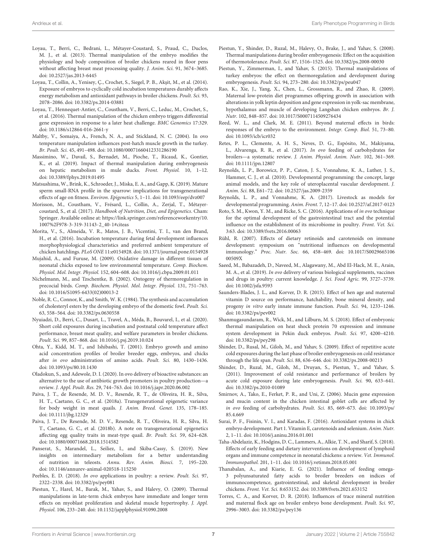- <span id="page-7-24"></span>Loyau, T., Berri, C., Bedrani, L., Métayer-Coustard, S., Praud, C., Duclos, M. J., et al. (2013). Thermal manipulation of the embryo modifies the physiology and body composition of broiler chickens reared in floor pens without affecting breast meat processing quality. J. Anim. Sci. 91, 3674–3685. doi: [10.2527/jas.2013-6445](https://doi.org/10.2527/jas.2013-6445)
- <span id="page-7-33"></span>Loyau, T., Collin, A., Yenisey, Ç., Crochet, S., Siegel, P. B., Akşit, M., et al. (2014). Exposure of embryos to cyclically cold incubation temperatures durably affects energy metabolism and antioxidant pathways in broiler chickens. Poult. Sci. 93, 2078–2086. doi: [10.3382/ps.2014-03881](https://doi.org/10.3382/ps.2014-03881)
- <span id="page-7-28"></span>Loyau, T., Hennequet-Antier, C., Coustham, V., Berri, C., Leduc, M., Crochet, S., et al. (2016). Thermal manipulation of the chicken embryo triggers differential gene expression in response to a later heat challenge. BMC Genomics 17:329. doi: [10.1186/s12864-016-2661-y](https://doi.org/10.1186/s12864-016-2661-y)
- <span id="page-7-20"></span>Maltby, V., Somaiya, A., French, N. A., and Stickland, N. C. (2004). In ovo temperature manipulation influences post-hatch muscle growth in the turkey. Br. Poult. Sci. 45, 491–498. doi: [10.1080/00071660412331286190](https://doi.org/10.1080/00071660412331286190)
- <span id="page-7-22"></span>Massimino, W., Davail, S., Bernadet, M., Pioche, T., Ricaud, K., Gontier, K., et al. (2019). Impact of thermal manipulation during embryogenesis on hepatic metabolism in mule ducks. Front. Physiol. 10, 1–12. doi: [10.3389/fphys.2019.01495](https://doi.org/10.3389/fphys.2019.01495)
- <span id="page-7-37"></span>Matsushima, W., Brink, K., Schroeder, J., Miska, E. A., and Gapp, K. (2019). Mature sperm small-RNA profile in the sparrow: implications for transgenerational effects of age on fitness. Environ. Epigenetics 5, 1–11. doi: [10.1093/eep/dvz007](https://doi.org/10.1093/eep/dvz007)
- <span id="page-7-5"></span>Morisson, M., Coustham, V., Frésard, L., Collin, A., Zerjal, T., Métayercoustard, S., et al. (2017). Handbook of Nutrition, Diet, and Epigenetics. Cham: Springer. Available online at: [https://link.springer.com/referenceworkentry/10.](https://link.springer.com/referenceworkentry/10.1007%2F978-3-319-31143-2_40-1#citeas) [1007%2F978-3-319-31143-2\\_40-1#citeas](https://link.springer.com/referenceworkentry/10.1007%2F978-3-319-31143-2_40-1#citeas)
- <span id="page-7-26"></span>Morita, V., S., Almeida, V. R., Matos, J. B., Vicentini, T. I., van den Brand, H., et al. (2016). Incubation temperature during fetal development influences morphophysiological characteristics and preferred ambient temperature of chicken hatchlings. PLoS ONE 11:e0154928. doi: [10.1371/journal.pone.0154928](https://doi.org/10.1371/journal.pone.0154928)
- <span id="page-7-34"></span>Mujahid, A., and Furuse, M. (2009). Oxidative damage in different tissues of neonatal chicks exposed to low environmental temperature. Comp. Biochem. Physiol. Mol. Integr. Physiol. 152, 604–608. doi: [10.1016/j.cbpa.2009.01.011](https://doi.org/10.1016/j.cbpa.2009.01.011)
- <span id="page-7-29"></span>Nichelmann, M., and Tzschentke, B. (2002). Ontogeny of thermoregulation in precocial birds. Comp. Biochem. Physiol. Mol. Integr. Physiol. 131, 751–763. doi: [10.1016/S1095-6433\(02\)00013-2](https://doi.org/10.1016/S1095-6433(02)00013-2)
- <span id="page-7-6"></span>Noble, R. C., Connor, K., and Smith, W. K. (1984). The synthesis and accumulation of cholesteryl esters by the developing embryo of the domestic fowl. Poult. Sci. 63, 558–564. doi: [10.3382/ps.0630558](https://doi.org/10.3382/ps.0630558)
- <span id="page-7-32"></span>Nyuiadzi, D., Berri, C., Dusart, L., Travel, A., Méda, B., Bouvarel, I., et al. (2020). Short cold exposures during incubation and postnatal cold temperature affect performance, breast meat quality, and welfare parameters in broiler chickens. Poult. Sci. 99, 857–868. doi: [10.1016/j.psj.2019.10.024](https://doi.org/10.1016/j.psj.2019.10.024)
- <span id="page-7-18"></span>Ohta, Y., Kidd, M. T., and Ishibashi, T. (2001). Embryo growth and amino acid concentration profiles of broiler breeder eggs, embryos, and chicks after in ovo administration of amino acids. Poult. Sci. 80, 1430-1436. doi: [10.1093/ps/80.10.1430](https://doi.org/10.1093/ps/80.10.1430)
- <span id="page-7-15"></span>Oladokun, S., and Adewole, D. I. (2020). In ovo delivery of bioactive substances: an alternative to the use of antibiotic growth promoters in poultry production—a review. J. Appl. Poult. Res. 29, 744–763. doi: [10.1016/j.japr.2020.06.002](https://doi.org/10.1016/j.japr.2020.06.002)
- <span id="page-7-36"></span>Paiva, J. T., de Resende, M. D. V., Resende, R. T., de Oliveira, H. R., Silva, H. T., Caetano, G. C., et al. (2018a). Transgenerational epigenetic variance for body weight in meat quails. J. Anim. Breed. Genet. 135, 178–185. doi: [10.1111/jbg.12329](https://doi.org/10.1111/jbg.12329)
- <span id="page-7-35"></span>Paiva, J. T., De Resende, M. D. V., Resende, R. T., Oliveira, H. R., Silva, H. T., Caetano, G. C., et al. (2018b). A note on transgenerational epigenetics affecting egg quality traits in meat-type quail. Br. Poult. Sci. 59, 624–628. doi: [10.1080/00071668.2018.1514582](https://doi.org/10.1080/00071668.2018.1514582)
- <span id="page-7-3"></span>Panserat, S., Marandel, L., Seiliez, I., and Skiba-Cassy, S. (2019). New insights on intermediary metabolism for a better understanding of nutrition in teleosts. Annu. Rev. Anim. Biosci. 7, 195–220. doi: [10.1146/annurev-animal-020518-115250](https://doi.org/10.1146/annurev-animal-020518-115250)
- <span id="page-7-13"></span>Peebles, E. D. (2018). In ovo applications in poultry: a review. Poult. Sci. 97, 2322–2338. doi: [10.3382/ps/pey081](https://doi.org/10.3382/ps/pey081)
- <span id="page-7-25"></span>Piestun, Y., Harel, M., Barak, M., Yahav, S., and Halevy, O. (2009). Thermal manipulations in late-term chick embryos have immediate and longer term effects on myoblast proliferation and skeletal muscle hypertrophy. J. Appl. Physiol. 106, 233–240. doi: [10.1152/japplphysiol.91090.2008](https://doi.org/10.1152/japplphysiol.91090.2008)
- <span id="page-7-23"></span>Piestun, Y., Shinder, D., Ruzal, M., Halevy, O., Brake, J., and Yahav, S. (2008). Thermal manipulations during broiler embryogenesis: Effect on the acquisition of thermotolerance. Poult. Sci. 87, 1516–1525. doi: [10.3382/ps.2008-00030](https://doi.org/10.3382/ps.2008-00030)
- <span id="page-7-21"></span>Piestun, Y., Zimmerman, I., and Yahav, S. (2015). Thermal manipulations of turkey embryos: the effect on thermoregulation and development during embryogenesis. Poult. Sci. 94, 273–280. doi: [10.3382/ps/peu047](https://doi.org/10.3382/ps/peu047)
- <span id="page-7-8"></span>Rao, K., Xie, J., Yang, X., Chen, L., Grossmann, R., and Zhao, R. (2009). Maternal low-protein diet programmes offspring growth in association with alterations in yolk leptin deposition and gene expression in yolk-sac membrane, hypothalamus and muscle of developing Langshan chicken embryos. Br. J. Nutr. 102, 848–857. doi: [10.1017/S0007114509276434](https://doi.org/10.1017/S0007114509276434)
- <span id="page-7-0"></span>Reed, W. L., and Clark, M. E. (2011). Beyond maternal effects in birds: responses of the embryo to the environment. Integr. Comp. Biol. 51, 73–80. doi: [10.1093/icb/icr032](https://doi.org/10.1093/icb/icr032)
- <span id="page-7-16"></span>Retes, P. L., Clemente, A. H. S., Neves, D. G., Espósito, M., Makiyama, L., Alvarenga, R. R., et al. (2017). In ovo feeding of carbohydrates for broilers—a systematic review. J. Anim. Physiol. Anim. Nutr. 102, 361–369. doi: [10.1111/jpn.12807](https://doi.org/10.1111/jpn.12807)
- <span id="page-7-2"></span>Reynolds, L. P., Borowicz, P. P., Caton, J. S., Vonnahme, K. A., Luther, J. S., Hammer, C. J., et al. (2010). Developmental programming: the concept, large animal models, and the key role of uteroplacental vascular development. J. Anim. Sci. 88, E61–72. doi: [10.2527/jas.2009-2359](https://doi.org/10.2527/jas.2009-2359)
- <span id="page-7-1"></span>Reynolds, L. P., and Vonnahme, K. A. (2017). Livestock as models for developmental programming. Anim. Front. 7, 12–17. doi: [10.2527/af.2017-0123](https://doi.org/10.2527/af.2017-0123)
- <span id="page-7-12"></span>Roto, S. M., Kwon, Y. M., and Ricke, S. C. (2016). Applications of in ovo technique for the optimal development of the gastrointestinal tract and the potential influence on the establishment of its microbiome in poultry. Front. Vet. Sci. 3:63. doi: [10.3389/fvets.2016.00063](https://doi.org/10.3389/fvets.2016.00063)
- <span id="page-7-4"></span>Rühl, R. (2007). Effects of dietary retinoids and carotenoids on immune development: symposium on "nutritional influences on developmental immunology." Proc. Nutr. Soc. [66, 458–469. doi: 10.1017/S0029665106](https://doi.org/10.1017/S002966510600509X) 00509X
- <span id="page-7-19"></span>Saeed, M., Babazadeh, D., Naveed, M., Alagawany, M., Abd El-Hack, M. E., Arain, M. A., et al. (2019). In ovo delivery of various biological supplements, vaccines and drugs in poultry: current knowledge. J. Sci. Food Agric. 99, 3727–3739. doi: [10.1002/jsfa.9593](https://doi.org/10.1002/jsfa.9593)
- <span id="page-7-10"></span>Saunders-Blades, J. L., and Korver, D. R. (2015). Effect of hen age and maternal vitamin D source on performance, hatchability, bone mineral density, and progeny in vitro early innate immune function. Poult. Sci. 94, 1233–1246. doi: [10.3382/ps/pev002](https://doi.org/10.3382/ps/pev002)
- <span id="page-7-27"></span>Shanmugasundaram, R., Wick, M., and Lilburn, M. S. (2018). Effect of embryonic thermal manipulation on heat shock protein 70 expression and immune system development in Pekin duck embryos. Poult. Sci. 97, 4200–4210. doi: [10.3382/ps/pey298](https://doi.org/10.3382/ps/pey298)
- <span id="page-7-30"></span>Shinder, D., Rusal, M., Giloh, M., and Yahav, S. (2009). Effect of repetitive acute cold exposures during the last phase of broiler embryogenesis on cold resistance through the life span. Poult. Sci. 88, 636–646. doi: [10.3382/ps.2008-00213](https://doi.org/10.3382/ps.2008-00213)
- <span id="page-7-31"></span>Shinder, D., Ruzal, M., Giloh, M., Druyan, S., Piestun, Y., and Yahav, S. (2011). Improvement of cold resistance and performance of broilers by acute cold exposure during late embryogenesis. Poult. Sci. 90, 633–641. doi: [10.3382/ps.2010-01089](https://doi.org/10.3382/ps.2010-01089)
- <span id="page-7-17"></span>Smirnov, A., Tako, E., Ferket, P. R., and Uni, Z. (2006). Mucin gene expression and mucin content in the chicken intestinal goblet cells are affected by in ovo feeding of carbohydrates. Poult. Sci. [85, 669–673. doi: 10.1093/ps/](https://doi.org/10.1093/ps/85.4.669) 85.4.669
- <span id="page-7-9"></span>Surai, P. F., Fisinin, V. I., and Karadas, F. (2016). Antioxidant systems in chick embryo development. Part 1. Vitamin E, carotenoids and selenium. Anim. Nutr. 2, 1–11. doi: [10.1016/j.aninu.2016.01.001](https://doi.org/10.1016/j.aninu.2016.01.001)
- <span id="page-7-14"></span>Taha-Abdelaziz, K., Hodgins, D. C., Lammers, A., Alkie, T. N., and Sharif, S. (2018). Effects of early feeding and dietary interventions on development of lymphoid organs and immune competence in neonatal chickens: a review. Vet. Immunol. Immunopathol. 201, 1–11. doi: [10.1016/j.vetimm.2018.05.001](https://doi.org/10.1016/j.vetimm.2018.05.001)
- <span id="page-7-7"></span>Thanabalan, A., and Kiarie, E. G. (2021). Influence of feeding omega-3 polyunsaturated fatty acids to broiler breeders on indices of immunocompetence, gastrointestinal, and skeletal development in broiler chickens. Front. Vet. Sci. 8:653152. doi: [10.3389/fvets.2021.653152](https://doi.org/10.3389/fvets.2021.653152)
- <span id="page-7-11"></span>Torres, C. A., and Korver, D. R. (2018). Influences of trace mineral nutrition and maternal flock age on broiler embryo bone development. Poult. Sci. 97, 2996–3003. doi: [10.3382/ps/pey136](https://doi.org/10.3382/ps/pey136)